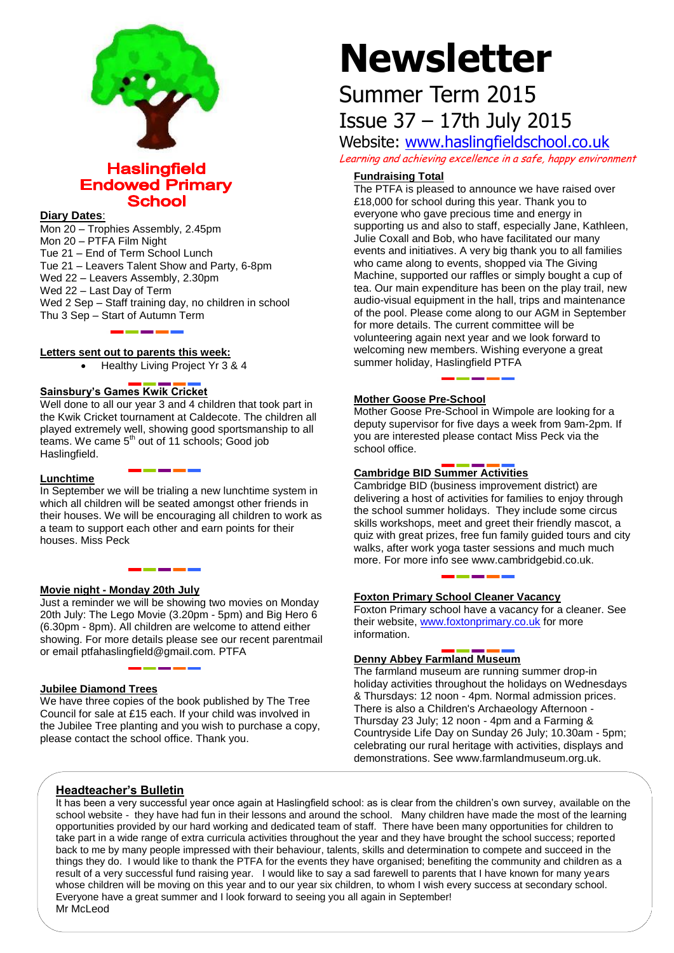

## **Haslingfield Endowed Primary School**

#### **Diary Dates**:

Mon 20 – Trophies Assembly, 2.45pm Mon 20 – PTFA Film Night Tue 21 – End of Term School Lunch Tue 21 – Leavers Talent Show and Party, 6-8pm Wed 22 – Leavers Assembly, 2.30pm Wed 22 – Last Day of Term Wed 2 Sep – Staff training day, no children in school Thu 3 Sep – Start of Autumn Term

#### **Letters sent out to parents this week:**

Healthy Living Project Yr 3 & 4

#### **Sainsbury's Games Kwik Cricket**

Well done to all our year 3 and 4 children that took part in the Kwik Cricket tournament at Caldecote. The children all played extremely well, showing good sportsmanship to all teams. We came  $5<sup>th</sup>$  out of 11 schools; Good job Haslingfield.

#### **Lunchtime**

In September we will be trialing a new lunchtime system in which all children will be seated amongst other friends in their houses. We will be encouraging all children to work as a team to support each other and earn points for their houses. Miss Peck

#### **Movie night - Monday 20th July**

Just a reminder we will be showing two movies on Monday 20th July: The Lego Movie (3.20pm - 5pm) and Big Hero 6 (6.30pm - 8pm). All children are welcome to attend either showing. For more details please see our recent parentmail or email ptfahaslingfield@gmail.com. PTFA

#### **Jubilee Diamond Trees**

We have three copies of the book published by The Tree Council for sale at £15 each. If your child was involved in the Jubilee Tree planting and you wish to purchase a copy, please contact the school office. Thank you.

# **Newsletter**

# Summer Term 2015 Issue 37 – 17th July 2015

Website: [www.haslingfieldschool.co.uk](http://www.haslingfieldschool.co.uk/) Learning and achieving excellence in a safe, happy environment

### **Fundraising Total**

The PTFA is pleased to announce we have raised over £18,000 for school during this year. Thank you to everyone who gave precious time and energy in supporting us and also to staff, especially Jane, Kathleen, Julie Coxall and Bob, who have facilitated our many events and initiatives. A very big thank you to all families who came along to events, shopped via The Giving Machine, supported our raffles or simply bought a cup of tea. Our main expenditure has been on the play trail, new audio-visual equipment in the hall, trips and maintenance of the pool. Please come along to our AGM in September for more details. The current committee will be volunteering again next year and we look forward to welcoming new members. Wishing everyone a great summer holiday, Haslingfield PTFA

#### **Mother Goose Pre-School**

Mother Goose Pre-School in Wimpole are looking for a deputy supervisor for five days a week from 9am-2pm. If you are interested please contact Miss Peck via the school office.

#### **Cambridge BID Summer Activities**

Cambridge BID (business improvement district) are delivering a host of activities for families to enjoy through the school summer holidays. They include some circus skills workshops, meet and greet their friendly mascot, a quiz with great prizes, free fun family guided tours and city walks, after work yoga taster sessions and much much more. For more info see www.cambridgebid.co.uk.

#### **Foxton Primary School Cleaner Vacancy**

Foxton Primary school have a vacancy for a cleaner. See their website, [www.foxtonprimary.co.uk](http://www.foxtonprimary.co.uk/) for more information.

#### **Denny Abbey Farmland Museum**

The farmland museum are running summer drop-in holiday activities throughout the holidays on Wednesdays & Thursdays: 12 noon - 4pm. Normal admission prices. There is also a Children's Archaeology Afternoon - Thursday 23 July; 12 noon - 4pm and a Farming & Countryside Life Day on Sunday 26 July; 10.30am - 5pm; celebrating our rural heritage with activities, displays and demonstrations. See www.farmlandmuseum.org.uk.

#### **Headteacher's Bulletin**

It has been a very successful year once again at Haslingfield school: as is clear from the children's own survey, available on the school website - they have had fun in their lessons and around the school. Many children have made the most of the learning opportunities provided by our hard working and dedicated team of staff. There have been many opportunities for children to take part in a wide range of extra curricula activities throughout the year and they have brought the school success; reported back to me by many people impressed with their behaviour, talents, skills and determination to compete and succeed in the things they do. I would like to thank the PTFA for the events they have organised; benefiting the community and children as a result of a very successful fund raising year. I would like to say a sad farewell to parents that I have known for many years whose children will be moving on this year and to our year six children, to whom I wish every success at secondary school. Everyone have a great summer and I look forward to seeing you all again in September! Mr McLeod